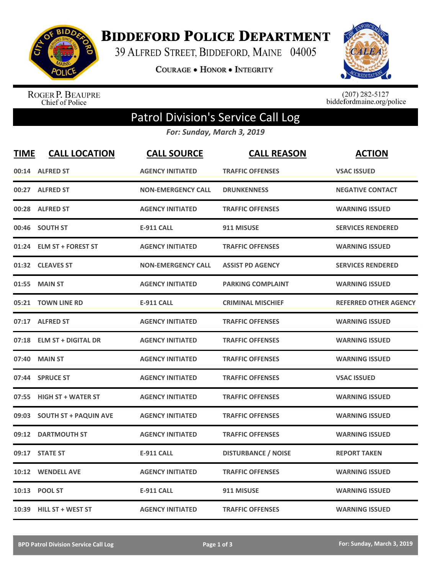

**BIDDEFORD POLICE DEPARTMENT** 

39 ALFRED STREET, BIDDEFORD, MAINE 04005

**COURAGE . HONOR . INTEGRITY** 



ROGER P. BEAUPRE<br>Chief of Police

 $(207)$  282-5127<br>biddefordmaine.org/police

## Patrol Division's Service Call Log

*For: Sunday, March 3, 2019*

| <b>TIME</b> | <b>CALL LOCATION</b>         | <b>CALL SOURCE</b>        | <b>CALL REASON</b>         | <b>ACTION</b>                |
|-------------|------------------------------|---------------------------|----------------------------|------------------------------|
|             | 00:14 ALFRED ST              | <b>AGENCY INITIATED</b>   | <b>TRAFFIC OFFENSES</b>    | <b>VSAC ISSUED</b>           |
|             | 00:27 ALFRED ST              | <b>NON-EMERGENCY CALL</b> | <b>DRUNKENNESS</b>         | <b>NEGATIVE CONTACT</b>      |
| 00:28       | <b>ALFRED ST</b>             | <b>AGENCY INITIATED</b>   | <b>TRAFFIC OFFENSES</b>    | <b>WARNING ISSUED</b>        |
| 00:46       | <b>SOUTH ST</b>              | <b>E-911 CALL</b>         | 911 MISUSE                 | <b>SERVICES RENDERED</b>     |
| 01:24       | <b>ELM ST + FOREST ST</b>    | <b>AGENCY INITIATED</b>   | <b>TRAFFIC OFFENSES</b>    | <b>WARNING ISSUED</b>        |
|             | 01:32 CLEAVES ST             | <b>NON-EMERGENCY CALL</b> | <b>ASSIST PD AGENCY</b>    | <b>SERVICES RENDERED</b>     |
| 01:55       | <b>MAIN ST</b>               | <b>AGENCY INITIATED</b>   | <b>PARKING COMPLAINT</b>   | <b>WARNING ISSUED</b>        |
| 05:21       | <b>TOWN LINE RD</b>          | <b>E-911 CALL</b>         | <b>CRIMINAL MISCHIEF</b>   | <b>REFERRED OTHER AGENCY</b> |
|             | 07:17 ALFRED ST              | <b>AGENCY INITIATED</b>   | <b>TRAFFIC OFFENSES</b>    | <b>WARNING ISSUED</b>        |
|             | 07:18 ELM ST + DIGITAL DR    | <b>AGENCY INITIATED</b>   | <b>TRAFFIC OFFENSES</b>    | <b>WARNING ISSUED</b>        |
| 07:40       | <b>MAIN ST</b>               | <b>AGENCY INITIATED</b>   | <b>TRAFFIC OFFENSES</b>    | <b>WARNING ISSUED</b>        |
| 07:44       | <b>SPRUCE ST</b>             | <b>AGENCY INITIATED</b>   | <b>TRAFFIC OFFENSES</b>    | <b>VSAC ISSUED</b>           |
| 07:55       | <b>HIGH ST + WATER ST</b>    | <b>AGENCY INITIATED</b>   | <b>TRAFFIC OFFENSES</b>    | <b>WARNING ISSUED</b>        |
| 09:03       | <b>SOUTH ST + PAQUIN AVE</b> | <b>AGENCY INITIATED</b>   | <b>TRAFFIC OFFENSES</b>    | <b>WARNING ISSUED</b>        |
| 09:12       | <b>DARTMOUTH ST</b>          | <b>AGENCY INITIATED</b>   | <b>TRAFFIC OFFENSES</b>    | <b>WARNING ISSUED</b>        |
| 09:17       | <b>STATE ST</b>              | <b>E-911 CALL</b>         | <b>DISTURBANCE / NOISE</b> | <b>REPORT TAKEN</b>          |
| 10:12       | <b>WENDELL AVE</b>           | <b>AGENCY INITIATED</b>   | <b>TRAFFIC OFFENSES</b>    | <b>WARNING ISSUED</b>        |
|             | 10:13 POOL ST                | <b>E-911 CALL</b>         | 911 MISUSE                 | <b>WARNING ISSUED</b>        |
|             | 10:39 HILL ST + WEST ST      | <b>AGENCY INITIATED</b>   | <b>TRAFFIC OFFENSES</b>    | <b>WARNING ISSUED</b>        |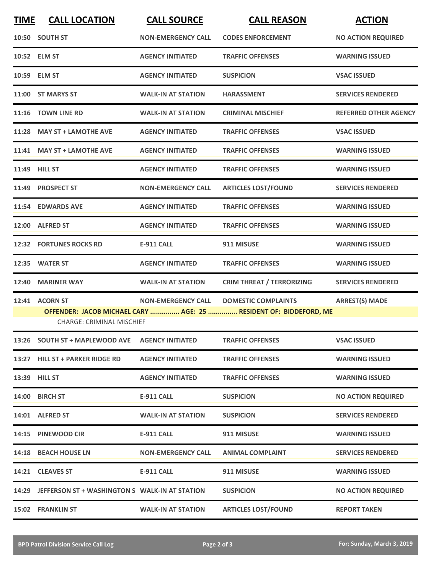| <b>TIME</b>                                                                                           | <b>CALL LOCATION</b>                                 | <b>CALL SOURCE</b>        | <b>CALL REASON</b>               | <b>ACTION</b>                |  |  |
|-------------------------------------------------------------------------------------------------------|------------------------------------------------------|---------------------------|----------------------------------|------------------------------|--|--|
|                                                                                                       | 10:50 SOUTH ST                                       | <b>NON-EMERGENCY CALL</b> | <b>CODES ENFORCEMENT</b>         | <b>NO ACTION REQUIRED</b>    |  |  |
|                                                                                                       | 10:52 ELM ST                                         | <b>AGENCY INITIATED</b>   | <b>TRAFFIC OFFENSES</b>          | <b>WARNING ISSUED</b>        |  |  |
|                                                                                                       | 10:59 ELM ST                                         | <b>AGENCY INITIATED</b>   | <b>SUSPICION</b>                 | <b>VSAC ISSUED</b>           |  |  |
| 11:00                                                                                                 | <b>ST MARYS ST</b>                                   | <b>WALK-IN AT STATION</b> | <b>HARASSMENT</b>                | <b>SERVICES RENDERED</b>     |  |  |
|                                                                                                       | 11:16 TOWN LINE RD                                   | <b>WALK-IN AT STATION</b> | <b>CRIMINAL MISCHIEF</b>         | <b>REFERRED OTHER AGENCY</b> |  |  |
| 11:28                                                                                                 | <b>MAY ST + LAMOTHE AVE</b>                          | <b>AGENCY INITIATED</b>   | <b>TRAFFIC OFFENSES</b>          | <b>VSAC ISSUED</b>           |  |  |
| 11:41                                                                                                 | <b>MAY ST + LAMOTHE AVE</b>                          | <b>AGENCY INITIATED</b>   | <b>TRAFFIC OFFENSES</b>          | <b>WARNING ISSUED</b>        |  |  |
|                                                                                                       | 11:49 HILL ST                                        | <b>AGENCY INITIATED</b>   | <b>TRAFFIC OFFENSES</b>          | <b>WARNING ISSUED</b>        |  |  |
| 11:49                                                                                                 | <b>PROSPECT ST</b>                                   | <b>NON-EMERGENCY CALL</b> | <b>ARTICLES LOST/FOUND</b>       | <b>SERVICES RENDERED</b>     |  |  |
| 11:54                                                                                                 | <b>EDWARDS AVE</b>                                   | <b>AGENCY INITIATED</b>   | <b>TRAFFIC OFFENSES</b>          | <b>WARNING ISSUED</b>        |  |  |
|                                                                                                       | 12:00 ALFRED ST                                      | <b>AGENCY INITIATED</b>   | <b>TRAFFIC OFFENSES</b>          | <b>WARNING ISSUED</b>        |  |  |
|                                                                                                       | <b>12:32 FORTUNES ROCKS RD</b>                       | <b>E-911 CALL</b>         | 911 MISUSE                       | <b>WARNING ISSUED</b>        |  |  |
| 12:35                                                                                                 | <b>WATER ST</b>                                      | <b>AGENCY INITIATED</b>   | <b>TRAFFIC OFFENSES</b>          | <b>WARNING ISSUED</b>        |  |  |
| 12:40                                                                                                 | <b>MARINER WAY</b>                                   | <b>WALK-IN AT STATION</b> | <b>CRIM THREAT / TERRORIZING</b> | <b>SERVICES RENDERED</b>     |  |  |
|                                                                                                       | 12:41 ACORN ST                                       | <b>NON-EMERGENCY CALL</b> | <b>DOMESTIC COMPLAINTS</b>       | <b>ARREST(S) MADE</b>        |  |  |
| OFFENDER: JACOB MICHAEL CARY  AGE: 25  RESIDENT OF: BIDDEFORD, ME<br><b>CHARGE: CRIMINAL MISCHIEF</b> |                                                      |                           |                                  |                              |  |  |
|                                                                                                       | 13:26 SOUTH ST + MAPLEWOOD AVE                       | <b>AGENCY INITIATED</b>   | <b>TRAFFIC OFFENSES</b>          | <b>VSAC ISSUED</b>           |  |  |
|                                                                                                       | 13:27 HILL ST + PARKER RIDGE RD                      | <b>AGENCY INITIATED</b>   | <b>TRAFFIC OFFENSES</b>          | <b>WARNING ISSUED</b>        |  |  |
|                                                                                                       | 13:39 HILL ST                                        | <b>AGENCY INITIATED</b>   | <b>TRAFFIC OFFENSES</b>          | <b>WARNING ISSUED</b>        |  |  |
|                                                                                                       | 14:00 BIRCH ST                                       | <b>E-911 CALL</b>         | <b>SUSPICION</b>                 | <b>NO ACTION REQUIRED</b>    |  |  |
|                                                                                                       | 14:01 ALFRED ST                                      | <b>WALK-IN AT STATION</b> | <b>SUSPICION</b>                 | <b>SERVICES RENDERED</b>     |  |  |
|                                                                                                       | 14:15 PINEWOOD CIR                                   | <b>E-911 CALL</b>         | 911 MISUSE                       | <b>WARNING ISSUED</b>        |  |  |
|                                                                                                       | 14:18 BEACH HOUSE LN                                 | <b>NON-EMERGENCY CALL</b> | <b>ANIMAL COMPLAINT</b>          | <b>SERVICES RENDERED</b>     |  |  |
|                                                                                                       | 14:21 CLEAVES ST                                     | <b>E-911 CALL</b>         | 911 MISUSE                       | <b>WARNING ISSUED</b>        |  |  |
|                                                                                                       | 14:29 JEFFERSON ST + WASHINGTON S WALK-IN AT STATION |                           | <b>SUSPICION</b>                 | <b>NO ACTION REQUIRED</b>    |  |  |
|                                                                                                       | <b>15:02 FRANKLIN ST</b>                             | <b>WALK-IN AT STATION</b> | <b>ARTICLES LOST/FOUND</b>       | <b>REPORT TAKEN</b>          |  |  |